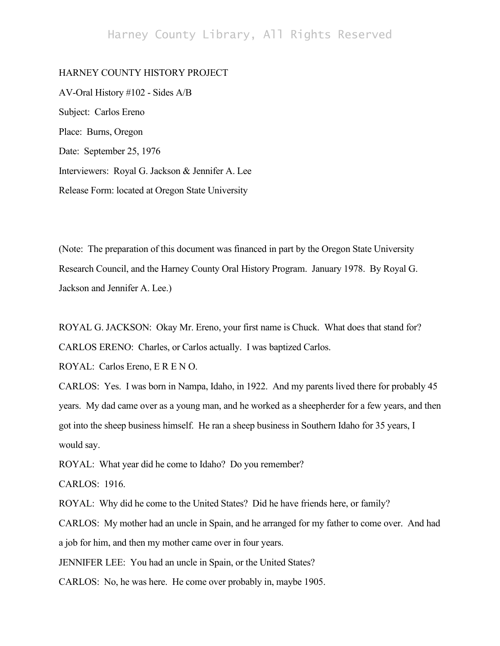## Harney County Library, All Rights Reserved

## HARNEY COUNTY HISTORY PROJECT

AV-Oral History #102 - Sides A/B Subject: Carlos Ereno Place: Burns, Oregon Date: September 25, 1976 Interviewers: Royal G. Jackson & Jennifer A. Lee Release Form: located at Oregon State University

(Note: The preparation of this document was financed in part by the Oregon State University Research Council, and the Harney County Oral History Program. January 1978. By Royal G. Jackson and Jennifer A. Lee.)

ROYAL G. JACKSON: Okay Mr. Ereno, your first name is Chuck. What does that stand for? CARLOS ERENO: Charles, or Carlos actually. I was baptized Carlos.

ROYAL: Carlos Ereno, E R E N O.

CARLOS: Yes. I was born in Nampa, Idaho, in 1922. And my parents lived there for probably 45 years. My dad came over as a young man, and he worked as a sheepherder for a few years, and then got into the sheep business himself. He ran a sheep business in Southern Idaho for 35 years, I would say.

ROYAL: What year did he come to Idaho? Do you remember?

CARLOS: 1916.

ROYAL: Why did he come to the United States? Did he have friends here, or family?

CARLOS: My mother had an uncle in Spain, and he arranged for my father to come over. And had a job for him, and then my mother came over in four years.

JENNIFER LEE: You had an uncle in Spain, or the United States?

CARLOS: No, he was here. He come over probably in, maybe 1905.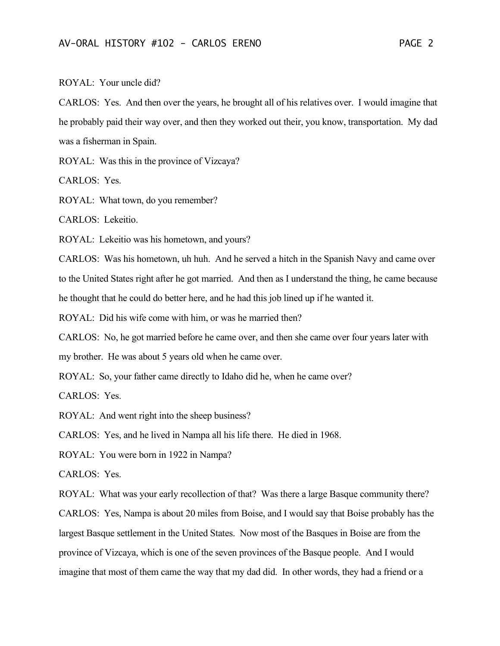ROYAL: Your uncle did?

CARLOS: Yes. And then over the years, he brought all of his relatives over. I would imagine that he probably paid their way over, and then they worked out their, you know, transportation. My dad was a fisherman in Spain.

ROYAL: Was this in the province of Vizcaya?

CARLOS: Yes.

ROYAL: What town, do you remember?

CARLOS: Lekeitio.

ROYAL: Lekeitio was his hometown, and yours?

CARLOS: Was his hometown, uh huh. And he served a hitch in the Spanish Navy and came over to the United States right after he got married. And then as I understand the thing, he came because he thought that he could do better here, and he had this job lined up if he wanted it.

ROYAL: Did his wife come with him, or was he married then?

CARLOS: No, he got married before he came over, and then she came over four years later with

my brother. He was about 5 years old when he came over.

ROYAL: So, your father came directly to Idaho did he, when he came over?

CARLOS: Yes.

ROYAL: And went right into the sheep business?

CARLOS: Yes, and he lived in Nampa all his life there. He died in 1968.

ROYAL: You were born in 1922 in Nampa?

CARLOS: Yes.

ROYAL: What was your early recollection of that? Was there a large Basque community there? CARLOS: Yes, Nampa is about 20 miles from Boise, and I would say that Boise probably has the largest Basque settlement in the United States. Now most of the Basques in Boise are from the province of Vizcaya, which is one of the seven provinces of the Basque people. And I would imagine that most of them came the way that my dad did. In other words, they had a friend or a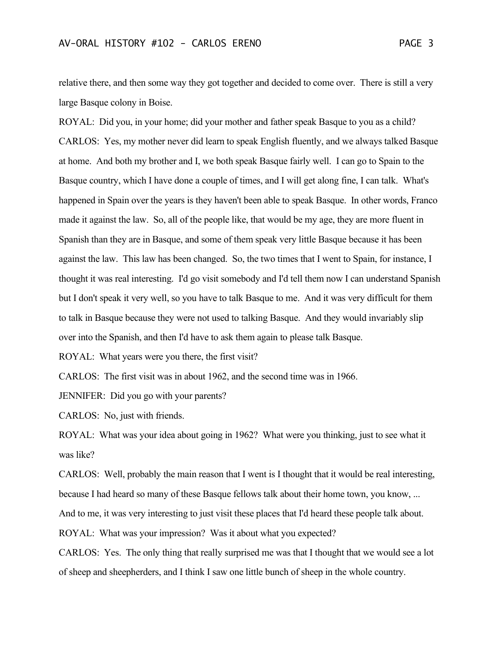relative there, and then some way they got together and decided to come over. There is still a very large Basque colony in Boise.

ROYAL: Did you, in your home; did your mother and father speak Basque to you as a child? CARLOS: Yes, my mother never did learn to speak English fluently, and we always talked Basque at home. And both my brother and I, we both speak Basque fairly well. I can go to Spain to the Basque country, which I have done a couple of times, and I will get along fine, I can talk. What's happened in Spain over the years is they haven't been able to speak Basque. In other words, Franco made it against the law. So, all of the people like, that would be my age, they are more fluent in Spanish than they are in Basque, and some of them speak very little Basque because it has been against the law. This law has been changed. So, the two times that I went to Spain, for instance, I thought it was real interesting. I'd go visit somebody and I'd tell them now I can understand Spanish but I don't speak it very well, so you have to talk Basque to me. And it was very difficult for them to talk in Basque because they were not used to talking Basque. And they would invariably slip over into the Spanish, and then I'd have to ask them again to please talk Basque.

ROYAL: What years were you there, the first visit?

CARLOS: The first visit was in about 1962, and the second time was in 1966.

JENNIFER: Did you go with your parents?

CARLOS: No, just with friends.

ROYAL: What was your idea about going in 1962? What were you thinking, just to see what it was like?

CARLOS: Well, probably the main reason that I went is I thought that it would be real interesting, because I had heard so many of these Basque fellows talk about their home town, you know, ...

And to me, it was very interesting to just visit these places that I'd heard these people talk about.

ROYAL: What was your impression? Was it about what you expected?

CARLOS: Yes. The only thing that really surprised me was that I thought that we would see a lot of sheep and sheepherders, and I think I saw one little bunch of sheep in the whole country.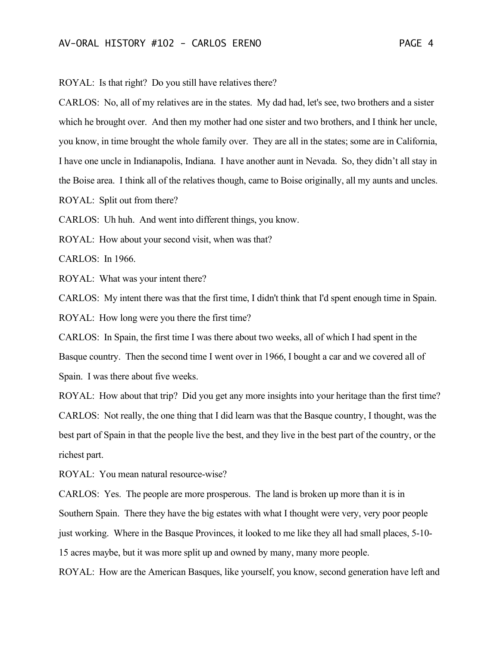ROYAL: Is that right? Do you still have relatives there?

CARLOS: No, all of my relatives are in the states. My dad had, let's see, two brothers and a sister which he brought over. And then my mother had one sister and two brothers, and I think her uncle, you know, in time brought the whole family over. They are all in the states; some are in California, I have one uncle in Indianapolis, Indiana. I have another aunt in Nevada. So, they didn't all stay in the Boise area. I think all of the relatives though, came to Boise originally, all my aunts and uncles. ROYAL: Split out from there?

CARLOS: Uh huh. And went into different things, you know.

ROYAL: How about your second visit, when was that?

CARLOS: In 1966.

ROYAL: What was your intent there?

CARLOS: My intent there was that the first time, I didn't think that I'd spent enough time in Spain. ROYAL: How long were you there the first time?

CARLOS: In Spain, the first time I was there about two weeks, all of which I had spent in the Basque country. Then the second time I went over in 1966, I bought a car and we covered all of Spain. I was there about five weeks.

ROYAL: How about that trip? Did you get any more insights into your heritage than the first time? CARLOS: Not really, the one thing that I did learn was that the Basque country, I thought, was the best part of Spain in that the people live the best, and they live in the best part of the country, or the richest part.

ROYAL: You mean natural resource-wise?

CARLOS: Yes. The people are more prosperous. The land is broken up more than it is in Southern Spain. There they have the big estates with what I thought were very, very poor people just working. Where in the Basque Provinces, it looked to me like they all had small places, 5-10- 15 acres maybe, but it was more split up and owned by many, many more people.

ROYAL: How are the American Basques, like yourself, you know, second generation have left and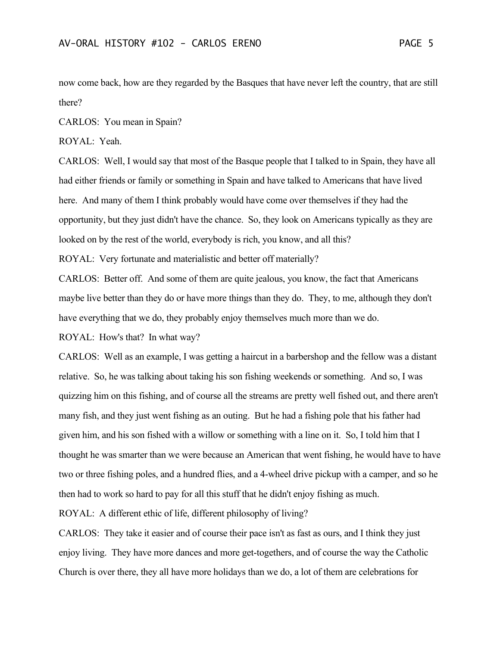now come back, how are they regarded by the Basques that have never left the country, that are still there?

CARLOS: You mean in Spain?

ROYAL: Yeah.

CARLOS: Well, I would say that most of the Basque people that I talked to in Spain, they have all had either friends or family or something in Spain and have talked to Americans that have lived here. And many of them I think probably would have come over themselves if they had the opportunity, but they just didn't have the chance. So, they look on Americans typically as they are looked on by the rest of the world, everybody is rich, you know, and all this?

ROYAL: Very fortunate and materialistic and better off materially?

CARLOS: Better off. And some of them are quite jealous, you know, the fact that Americans maybe live better than they do or have more things than they do. They, to me, although they don't have everything that we do, they probably enjoy themselves much more than we do.

ROYAL: How's that? In what way?

CARLOS: Well as an example, I was getting a haircut in a barbershop and the fellow was a distant relative. So, he was talking about taking his son fishing weekends or something. And so, I was quizzing him on this fishing, and of course all the streams are pretty well fished out, and there aren't many fish, and they just went fishing as an outing. But he had a fishing pole that his father had given him, and his son fished with a willow or something with a line on it. So, I told him that I thought he was smarter than we were because an American that went fishing, he would have to have two or three fishing poles, and a hundred flies, and a 4-wheel drive pickup with a camper, and so he then had to work so hard to pay for all this stuff that he didn't enjoy fishing as much.

ROYAL: A different ethic of life, different philosophy of living?

CARLOS: They take it easier and of course their pace isn't as fast as ours, and I think they just enjoy living. They have more dances and more get-togethers, and of course the way the Catholic Church is over there, they all have more holidays than we do, a lot of them are celebrations for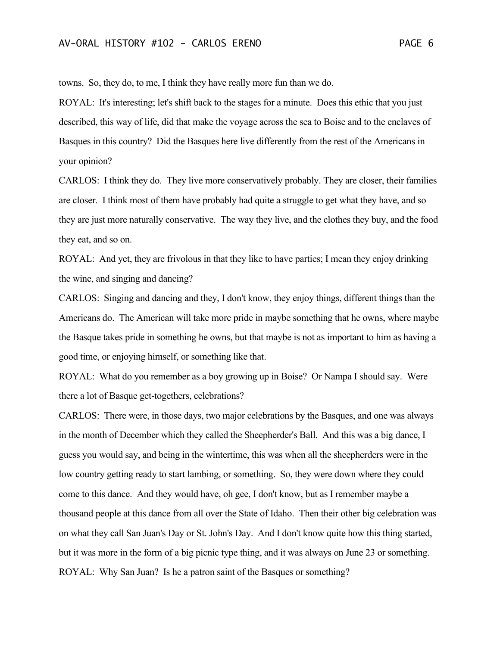towns. So, they do, to me, I think they have really more fun than we do.

ROYAL: It's interesting; let's shift back to the stages for a minute. Does this ethic that you just described, this way of life, did that make the voyage across the sea to Boise and to the enclaves of Basques in this country? Did the Basques here live differently from the rest of the Americans in your opinion?

CARLOS: I think they do. They live more conservatively probably. They are closer, their families are closer. I think most of them have probably had quite a struggle to get what they have, and so they are just more naturally conservative. The way they live, and the clothes they buy, and the food they eat, and so on.

ROYAL: And yet, they are frivolous in that they like to have parties; I mean they enjoy drinking the wine, and singing and dancing?

CARLOS: Singing and dancing and they, I don't know, they enjoy things, different things than the Americans do. The American will take more pride in maybe something that he owns, where maybe the Basque takes pride in something he owns, but that maybe is not as important to him as having a good time, or enjoying himself, or something like that.

ROYAL: What do you remember as a boy growing up in Boise? Or Nampa I should say. Were there a lot of Basque get-togethers, celebrations?

CARLOS: There were, in those days, two major celebrations by the Basques, and one was always in the month of December which they called the Sheepherder's Ball. And this was a big dance, I guess you would say, and being in the wintertime, this was when all the sheepherders were in the low country getting ready to start lambing, or something. So, they were down where they could come to this dance. And they would have, oh gee, I don't know, but as I remember maybe a thousand people at this dance from all over the State of Idaho. Then their other big celebration was on what they call San Juan's Day or St. John's Day. And I don't know quite how this thing started, but it was more in the form of a big picnic type thing, and it was always on June 23 or something. ROYAL: Why San Juan? Is he a patron saint of the Basques or something?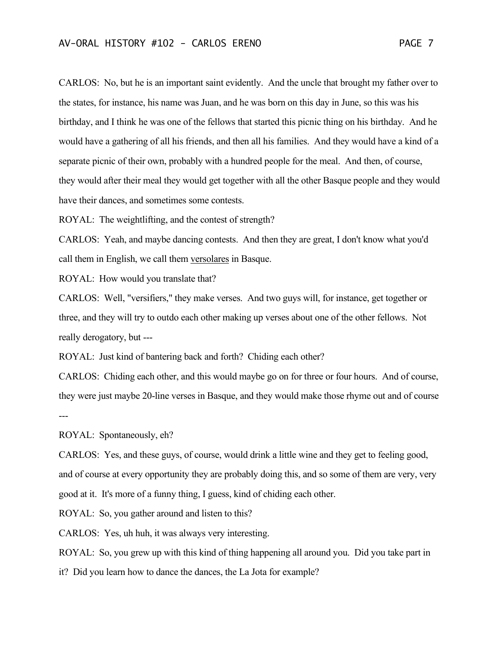CARLOS: No, but he is an important saint evidently. And the uncle that brought my father over to the states, for instance, his name was Juan, and he was born on this day in June, so this was his birthday, and I think he was one of the fellows that started this picnic thing on his birthday. And he would have a gathering of all his friends, and then all his families. And they would have a kind of a separate picnic of their own, probably with a hundred people for the meal. And then, of course, they would after their meal they would get together with all the other Basque people and they would have their dances, and sometimes some contests.

ROYAL: The weightlifting, and the contest of strength?

CARLOS: Yeah, and maybe dancing contests. And then they are great, I don't know what you'd call them in English, we call them versolares in Basque.

ROYAL: How would you translate that?

CARLOS: Well, "versifiers," they make verses. And two guys will, for instance, get together or three, and they will try to outdo each other making up verses about one of the other fellows. Not really derogatory, but ---

ROYAL: Just kind of bantering back and forth? Chiding each other?

CARLOS: Chiding each other, and this would maybe go on for three or four hours. And of course, they were just maybe 20-line verses in Basque, and they would make those rhyme out and of course ---

ROYAL: Spontaneously, eh?

CARLOS: Yes, and these guys, of course, would drink a little wine and they get to feeling good, and of course at every opportunity they are probably doing this, and so some of them are very, very good at it. It's more of a funny thing, I guess, kind of chiding each other.

ROYAL: So, you gather around and listen to this?

CARLOS: Yes, uh huh, it was always very interesting.

ROYAL: So, you grew up with this kind of thing happening all around you. Did you take part in

it? Did you learn how to dance the dances, the La Jota for example?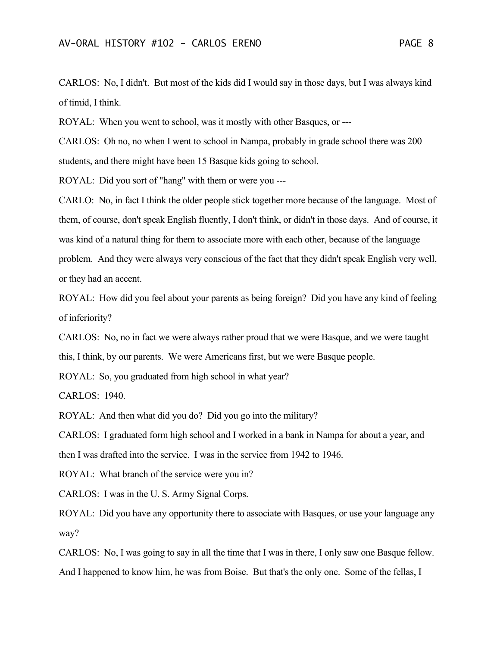CARLOS: No, I didn't. But most of the kids did I would say in those days, but I was always kind of timid, I think.

ROYAL: When you went to school, was it mostly with other Basques, or ---

CARLOS: Oh no, no when I went to school in Nampa, probably in grade school there was 200 students, and there might have been 15 Basque kids going to school.

ROYAL: Did you sort of "hang" with them or were you ---

CARLO: No, in fact I think the older people stick together more because of the language. Most of them, of course, don't speak English fluently, I don't think, or didn't in those days. And of course, it was kind of a natural thing for them to associate more with each other, because of the language problem. And they were always very conscious of the fact that they didn't speak English very well, or they had an accent.

ROYAL: How did you feel about your parents as being foreign? Did you have any kind of feeling of inferiority?

CARLOS: No, no in fact we were always rather proud that we were Basque, and we were taught this, I think, by our parents. We were Americans first, but we were Basque people.

ROYAL: So, you graduated from high school in what year?

CARLOS: 1940.

ROYAL: And then what did you do? Did you go into the military?

CARLOS: I graduated form high school and I worked in a bank in Nampa for about a year, and then I was drafted into the service. I was in the service from 1942 to 1946.

ROYAL: What branch of the service were you in?

CARLOS: I was in the U. S. Army Signal Corps.

ROYAL: Did you have any opportunity there to associate with Basques, or use your language any way?

CARLOS: No, I was going to say in all the time that I was in there, I only saw one Basque fellow. And I happened to know him, he was from Boise. But that's the only one. Some of the fellas, I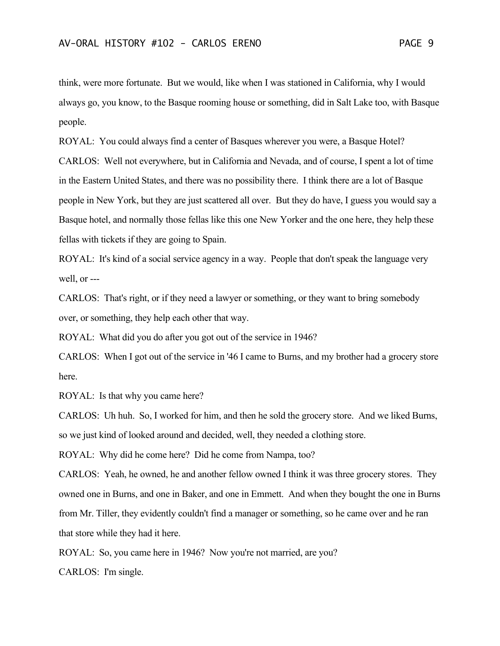think, were more fortunate. But we would, like when I was stationed in California, why I would always go, you know, to the Basque rooming house or something, did in Salt Lake too, with Basque people.

ROYAL: You could always find a center of Basques wherever you were, a Basque Hotel? CARLOS: Well not everywhere, but in California and Nevada, and of course, I spent a lot of time in the Eastern United States, and there was no possibility there. I think there are a lot of Basque people in New York, but they are just scattered all over. But they do have, I guess you would say a Basque hotel, and normally those fellas like this one New Yorker and the one here, they help these fellas with tickets if they are going to Spain.

ROYAL: It's kind of a social service agency in a way. People that don't speak the language very well, or ---

CARLOS: That's right, or if they need a lawyer or something, or they want to bring somebody over, or something, they help each other that way.

ROYAL: What did you do after you got out of the service in 1946?

CARLOS: When I got out of the service in '46 I came to Burns, and my brother had a grocery store here.

ROYAL: Is that why you came here?

CARLOS: Uh huh. So, I worked for him, and then he sold the grocery store. And we liked Burns, so we just kind of looked around and decided, well, they needed a clothing store.

ROYAL: Why did he come here? Did he come from Nampa, too?

CARLOS: Yeah, he owned, he and another fellow owned I think it was three grocery stores. They owned one in Burns, and one in Baker, and one in Emmett. And when they bought the one in Burns from Mr. Tiller, they evidently couldn't find a manager or something, so he came over and he ran that store while they had it here.

ROYAL: So, you came here in 1946? Now you're not married, are you?

CARLOS: I'm single.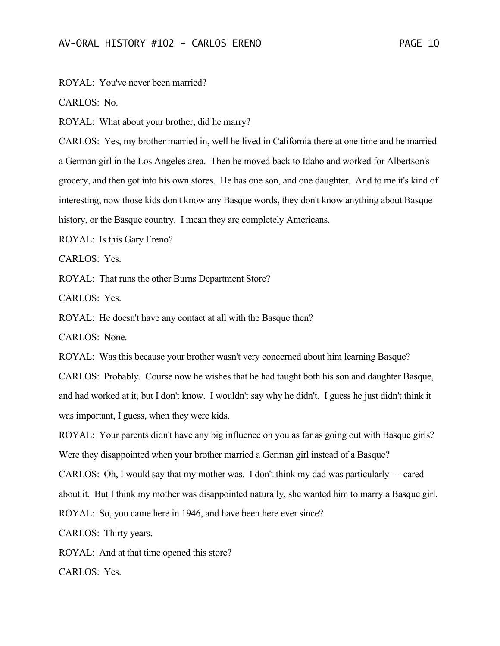ROYAL: You've never been married?

CARLOS: No.

ROYAL: What about your brother, did he marry?

CARLOS: Yes, my brother married in, well he lived in California there at one time and he married a German girl in the Los Angeles area. Then he moved back to Idaho and worked for Albertson's grocery, and then got into his own stores. He has one son, and one daughter. And to me it's kind of interesting, now those kids don't know any Basque words, they don't know anything about Basque history, or the Basque country. I mean they are completely Americans.

ROYAL: Is this Gary Ereno?

CARLOS: Yes.

ROYAL: That runs the other Burns Department Store?

CARLOS: Yes.

ROYAL: He doesn't have any contact at all with the Basque then?

CARLOS: None.

ROYAL: Was this because your brother wasn't very concerned about him learning Basque?

CARLOS: Probably. Course now he wishes that he had taught both his son and daughter Basque, and had worked at it, but I don't know. I wouldn't say why he didn't. I guess he just didn't think it was important, I guess, when they were kids.

ROYAL: Your parents didn't have any big influence on you as far as going out with Basque girls? Were they disappointed when your brother married a German girl instead of a Basque?

CARLOS: Oh, I would say that my mother was. I don't think my dad was particularly --- cared about it. But I think my mother was disappointed naturally, she wanted him to marry a Basque girl.

ROYAL: So, you came here in 1946, and have been here ever since?

CARLOS: Thirty years.

ROYAL: And at that time opened this store?

CARLOS: Yes.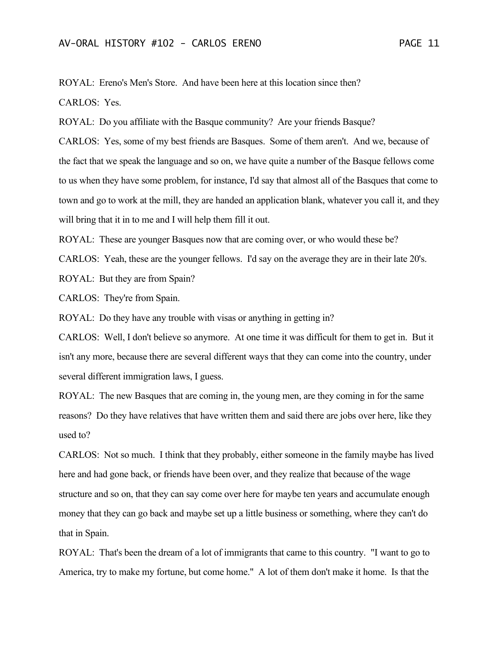ROYAL: Ereno's Men's Store. And have been here at this location since then? CARLOS: Yes.

ROYAL: Do you affiliate with the Basque community? Are your friends Basque?

CARLOS: Yes, some of my best friends are Basques. Some of them aren't. And we, because of the fact that we speak the language and so on, we have quite a number of the Basque fellows come to us when they have some problem, for instance, I'd say that almost all of the Basques that come to town and go to work at the mill, they are handed an application blank, whatever you call it, and they will bring that it in to me and I will help them fill it out.

ROYAL: These are younger Basques now that are coming over, or who would these be?

CARLOS: Yeah, these are the younger fellows. I'd say on the average they are in their late 20's. ROYAL: But they are from Spain?

CARLOS: They're from Spain.

ROYAL: Do they have any trouble with visas or anything in getting in?

CARLOS: Well, I don't believe so anymore. At one time it was difficult for them to get in. But it isn't any more, because there are several different ways that they can come into the country, under several different immigration laws, I guess.

ROYAL: The new Basques that are coming in, the young men, are they coming in for the same reasons? Do they have relatives that have written them and said there are jobs over here, like they used to?

CARLOS: Not so much. I think that they probably, either someone in the family maybe has lived here and had gone back, or friends have been over, and they realize that because of the wage structure and so on, that they can say come over here for maybe ten years and accumulate enough money that they can go back and maybe set up a little business or something, where they can't do that in Spain.

ROYAL: That's been the dream of a lot of immigrants that came to this country. "I want to go to America, try to make my fortune, but come home." A lot of them don't make it home. Is that the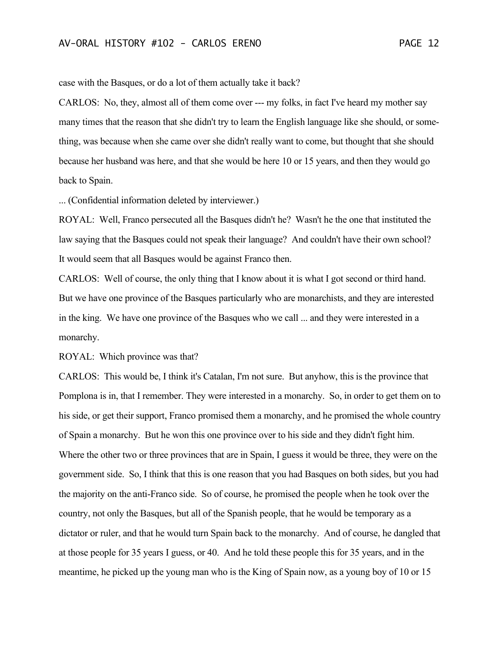case with the Basques, or do a lot of them actually take it back?

CARLOS: No, they, almost all of them come over --- my folks, in fact I've heard my mother say many times that the reason that she didn't try to learn the English language like she should, or something, was because when she came over she didn't really want to come, but thought that she should because her husband was here, and that she would be here 10 or 15 years, and then they would go back to Spain.

... (Confidential information deleted by interviewer.)

ROYAL: Well, Franco persecuted all the Basques didn't he? Wasn't he the one that instituted the law saying that the Basques could not speak their language? And couldn't have their own school? It would seem that all Basques would be against Franco then.

CARLOS: Well of course, the only thing that I know about it is what I got second or third hand. But we have one province of the Basques particularly who are monarchists, and they are interested in the king. We have one province of the Basques who we call ... and they were interested in a monarchy.

ROYAL: Which province was that?

CARLOS: This would be, I think it's Catalan, I'm not sure. But anyhow, this is the province that Pomplona is in, that I remember. They were interested in a monarchy. So, in order to get them on to his side, or get their support, Franco promised them a monarchy, and he promised the whole country of Spain a monarchy. But he won this one province over to his side and they didn't fight him. Where the other two or three provinces that are in Spain, I guess it would be three, they were on the government side. So, I think that this is one reason that you had Basques on both sides, but you had the majority on the anti-Franco side. So of course, he promised the people when he took over the country, not only the Basques, but all of the Spanish people, that he would be temporary as a dictator or ruler, and that he would turn Spain back to the monarchy. And of course, he dangled that at those people for 35 years I guess, or 40. And he told these people this for 35 years, and in the meantime, he picked up the young man who is the King of Spain now, as a young boy of 10 or 15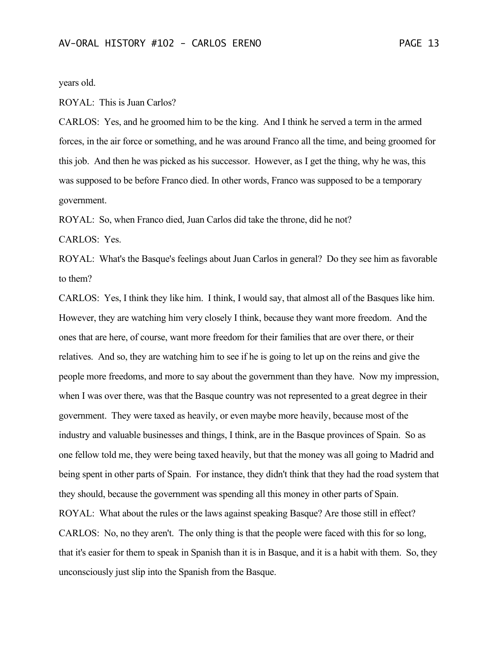years old.

ROYAL: This is Juan Carlos?

CARLOS: Yes, and he groomed him to be the king. And I think he served a term in the armed forces, in the air force or something, and he was around Franco all the time, and being groomed for this job. And then he was picked as his successor. However, as I get the thing, why he was, this was supposed to be before Franco died. In other words, Franco was supposed to be a temporary government.

ROYAL: So, when Franco died, Juan Carlos did take the throne, did he not?

CARLOS: Yes.

ROYAL: What's the Basque's feelings about Juan Carlos in general? Do they see him as favorable to them?

CARLOS: Yes, I think they like him. I think, I would say, that almost all of the Basques like him. However, they are watching him very closely I think, because they want more freedom. And the ones that are here, of course, want more freedom for their families that are over there, or their relatives. And so, they are watching him to see if he is going to let up on the reins and give the people more freedoms, and more to say about the government than they have. Now my impression, when I was over there, was that the Basque country was not represented to a great degree in their government. They were taxed as heavily, or even maybe more heavily, because most of the industry and valuable businesses and things, I think, are in the Basque provinces of Spain. So as one fellow told me, they were being taxed heavily, but that the money was all going to Madrid and being spent in other parts of Spain. For instance, they didn't think that they had the road system that they should, because the government was spending all this money in other parts of Spain. ROYAL: What about the rules or the laws against speaking Basque? Are those still in effect? CARLOS: No, no they aren't. The only thing is that the people were faced with this for so long, that it's easier for them to speak in Spanish than it is in Basque, and it is a habit with them. So, they unconsciously just slip into the Spanish from the Basque.